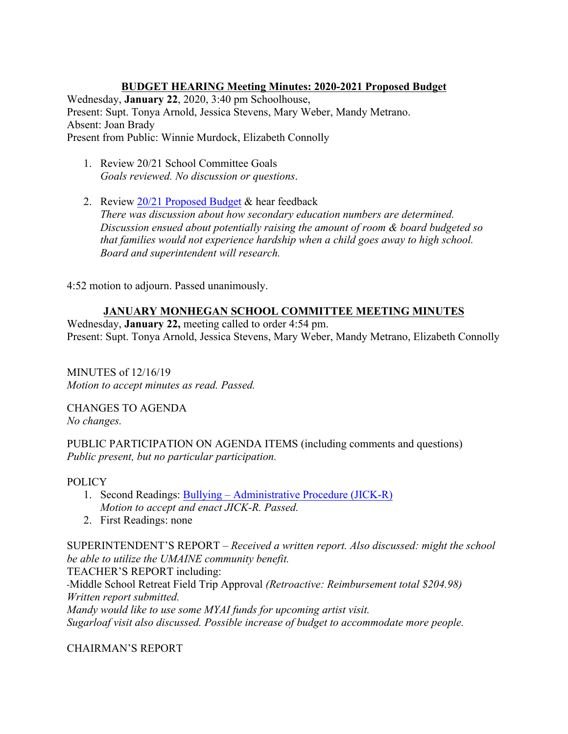**BUDGET HEARING Meeting Minutes: 2020-2021 Proposed Budget** Wednesday, **January 22**, 2020, 3:40 pm Schoolhouse, Present: Supt. Tonya Arnold, Jessica Stevens, Mary Weber, Mandy Metrano. Absent: Joan Brady Present from Public: Winnie Murdock, Elizabeth Connolly

- 1. Review 20/21 School Committee Goals *Goals reviewed. No discussion or questions*.
- 2. Review 20/21 Proposed Budget & hear feedback *There was discussion about how secondary education numbers are determined. Discussion ensued about potentially raising the amount of room & board budgeted so that families would not experience hardship when a child goes away to high school. Board and superintendent will research.*

4:52 motion to adjourn. Passed unanimously.

## **JANUARY MONHEGAN SCHOOL COMMITTEE MEETING MINUTES**

Wednesday, **January 22,** meeting called to order 4:54 pm. Present: Supt. Tonya Arnold, Jessica Stevens, Mary Weber, Mandy Metrano, Elizabeth Connolly

MINUTES of 12/16/19 *Motion to accept minutes as read. Passed.*

CHANGES TO AGENDA *No changes.*

PUBLIC PARTICIPATION ON AGENDA ITEMS (including comments and questions) *Public present, but no particular participation.*

#### POLICY

- 1. Second Readings: Bullying Administrative Procedure (JICK-R) *Motion to accept and enact JICK-R. Passed.*
- 2. First Readings: none

SUPERINTENDENT'S REPORT – *Received a written report. Also discussed: might the school be able to utilize the UMAINE community benefit.*

TEACHER'S REPORT including:

-Middle School Retreat Field Trip Approval *(Retroactive: Reimbursement total \$204.98) Written report submitted.* 

*Mandy would like to use some MYAI funds for upcoming artist visit. Sugarloaf visit also discussed. Possible increase of budget to accommodate more people.*

CHAIRMAN'S REPORT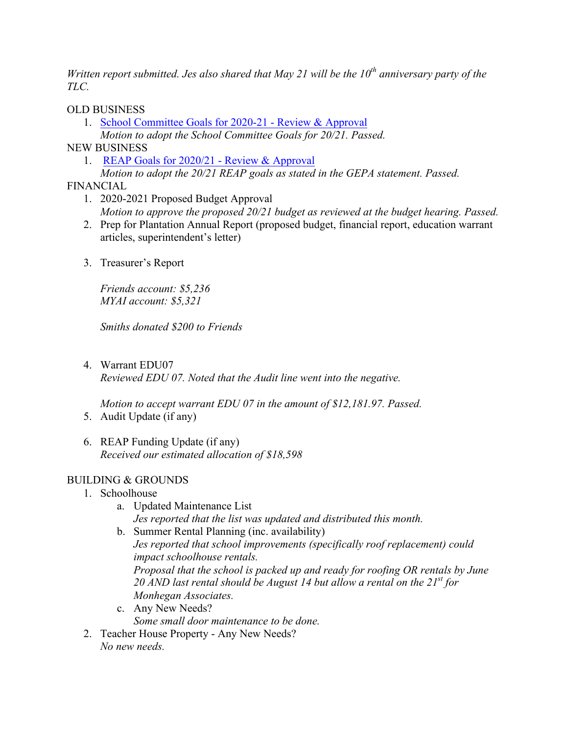*Written report submitted. Jes also shared that May 21 will be the 10th anniversary party of the TLC.* 

### OLD BUSINESS

- 1. School Committee Goals for 2020-21 Review & Approval *Motion to adopt the School Committee Goals for 20/21. Passed.*
- 
- NEW BUSINESS
	- 1. REAP Goals for 2020/21 Review & Approval
	- *Motion to adopt the 20/21 REAP goals as stated in the GEPA statement. Passed.*
- FINANCIAL
	- 1. 2020-2021 Proposed Budget Approval *Motion to approve the proposed 20/21 budget as reviewed at the budget hearing. Passed.*
	- 2. Prep for Plantation Annual Report (proposed budget, financial report, education warrant articles, superintendent's letter)
	- 3. Treasurer's Report

*Friends account: \$5,236 MYAI account: \$5,321*

*Smiths donated \$200 to Friends*

4. Warrant EDU07

*Reviewed EDU 07. Noted that the Audit line went into the negative.*

*Motion to accept warrant EDU 07 in the amount of \$12,181.97. Passed.*

- 5. Audit Update (if any)
- 6. REAP Funding Update (if any) *Received our estimated allocation of \$18,598*

### BUILDING & GROUNDS

- 1. Schoolhouse
	- a. Updated Maintenance List *Jes reported that the list was updated and distributed this month.*
	- b. Summer Rental Planning (inc. availability) *Jes reported that school improvements (specifically roof replacement) could impact schoolhouse rentals. Proposal that the school is packed up and ready for roofing OR rentals by June 20 AND last rental should be August 14 but allow a rental on the 21st for Monhegan Associates.*
	- c. Any New Needs? *Some small door maintenance to be done.*
- 2. Teacher House Property Any New Needs? *No new needs.*